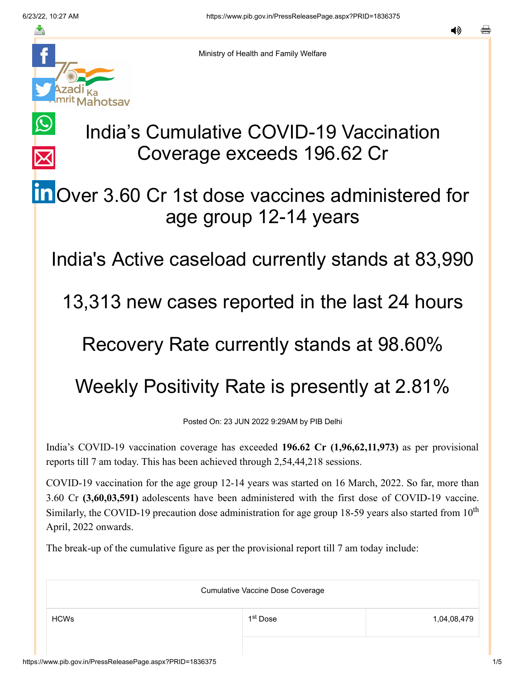$\bigcirc$ 

 $\overline{\times}$ 



Ministry of Health and Family Welfare

## India's Cumulative COVID-19 Vaccination Coverage exceeds 196.62 Cr

## **in** [O](https://www.linkedin.com/shareArticle?mini=true&url=https://pib.gov.in/PressReleasePage.aspx?PRID=1836375&title=India%E2%80%99s%20Cumulative%20COVID-19%20Vaccination%20Coverage%20exceeds%20196.62%20Cr&summary=My%20favorite%20developer%20program&source=LinkedIn)ver 3.60 Cr 1st dose vaccines administered for age group 12-14 years

India's Active caseload currently stands at 83,990

13,313 new cases reported in the last 24 hours

## Recovery Rate currently stands at 98.60%

## Weekly Positivity Rate is presently at 2.81%

Posted On: 23 JUN 2022 9:29AM by PIB Delhi

India's COVID-19 vaccination coverage has exceeded **196.62 Cr (1,96,62,11,973)** as per provisional reports till 7 am today. This has been achieved through 2,54,44,218 sessions.

COVID-19 vaccination for the age group 12-14 years was started on 16 March, 2022. So far, more than 3.60 Cr **(3,60,03,591)** adolescents have been administered with the first dose of COVID-19 vaccine. Similarly, the COVID-19 precaution dose administration for age group 18-59 years also started from  $10<sup>th</sup>$ April, 2022 onwards.

The break-up of the cumulative figure as per the provisional report till 7 am today include:

| <b>Cumulative Vaccine Dose Coverage</b> |                      |             |  |
|-----------------------------------------|----------------------|-------------|--|
| <b>HCWs</b>                             | 1 <sup>st</sup> Dose | 1,04,08,479 |  |
|                                         |                      |             |  |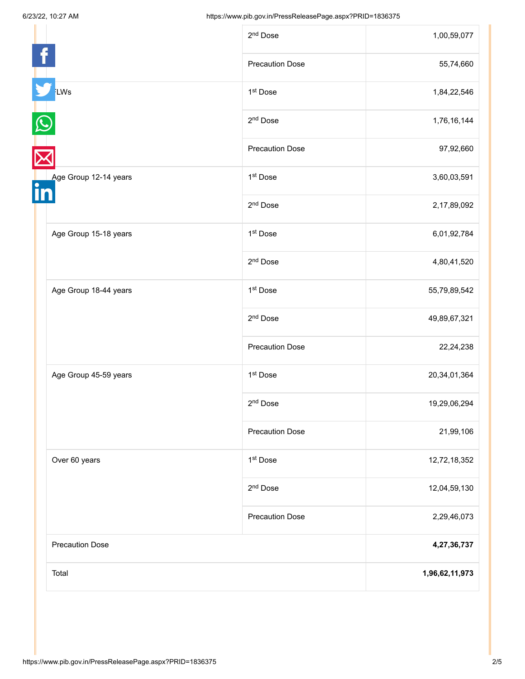|                        | 2 <sup>nd</sup> Dose   | 1,00,59,077     |
|------------------------|------------------------|-----------------|
|                        | <b>Precaution Dose</b> | 55,74,660       |
| LWs                    | 1 <sup>st</sup> Dose   | 1,84,22,546     |
|                        | 2 <sup>nd</sup> Dose   | 1,76,16,144     |
|                        | <b>Precaution Dose</b> | 97,92,660       |
| Age Group 12-14 years  | 1 <sup>st</sup> Dose   | 3,60,03,591     |
|                        | 2 <sup>nd</sup> Dose   | 2,17,89,092     |
| Age Group 15-18 years  | 1 <sup>st</sup> Dose   | 6,01,92,784     |
|                        | 2 <sup>nd</sup> Dose   | 4,80,41,520     |
| Age Group 18-44 years  | 1 <sup>st</sup> Dose   | 55,79,89,542    |
|                        | 2 <sup>nd</sup> Dose   | 49,89,67,321    |
|                        | <b>Precaution Dose</b> | 22,24,238       |
| Age Group 45-59 years  | 1st Dose               | 20, 34, 01, 364 |
|                        | 2 <sup>nd</sup> Dose   | 19,29,06,294    |
|                        | <b>Precaution Dose</b> | 21,99,106       |
| Over 60 years          | 1st Dose               | 12,72,18,352    |
|                        | 2 <sup>nd</sup> Dose   | 12,04,59,130    |
|                        | <b>Precaution Dose</b> | 2,29,46,073     |
| <b>Precaution Dose</b> |                        | 4,27,36,737     |
| Total                  |                        | 1,96,62,11,973  |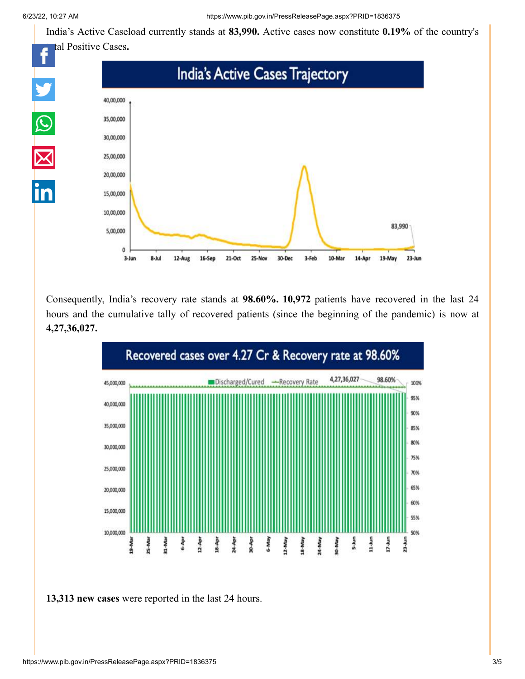India's Active Caseload currently stands at **83,990.** Active cases now constitute **0.19%** of the country's



Consequently, India's recovery rate stands at **98.60%. 10,972** patients have recovered in the last 24 hours and the cumulative tally of recovered patients (since the beginning of the pandemic) is now at **4,27,36,027.**



**13,313 new cases** were reported in the last 24 hours.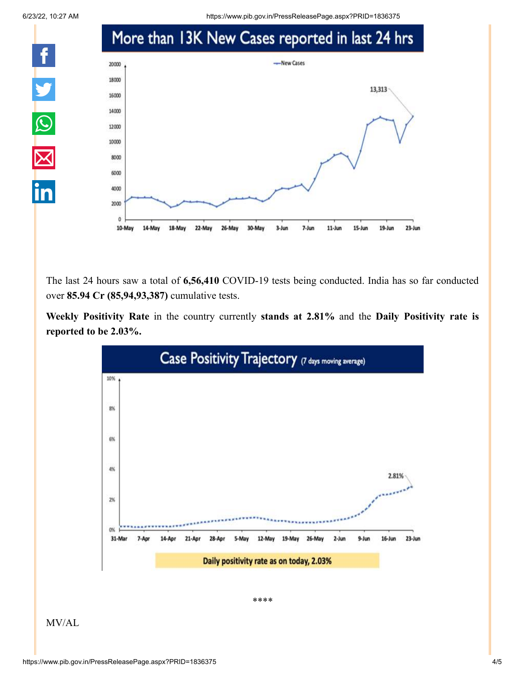

6/23/22, 10:27 AM https://www.pib.gov.in/PressReleasePage.aspx?PRID=1836375



The last 24 hours saw a total of **6,56,410** COVID-19 tests being conducted. India has so far conducted over **85.94 Cr (85,94,93,387)** cumulative tests.

**Weekly Positivity Rate** in the country currently **stands at 2.81%** and the **Daily Positivity rate is reported to be 2.03%.**